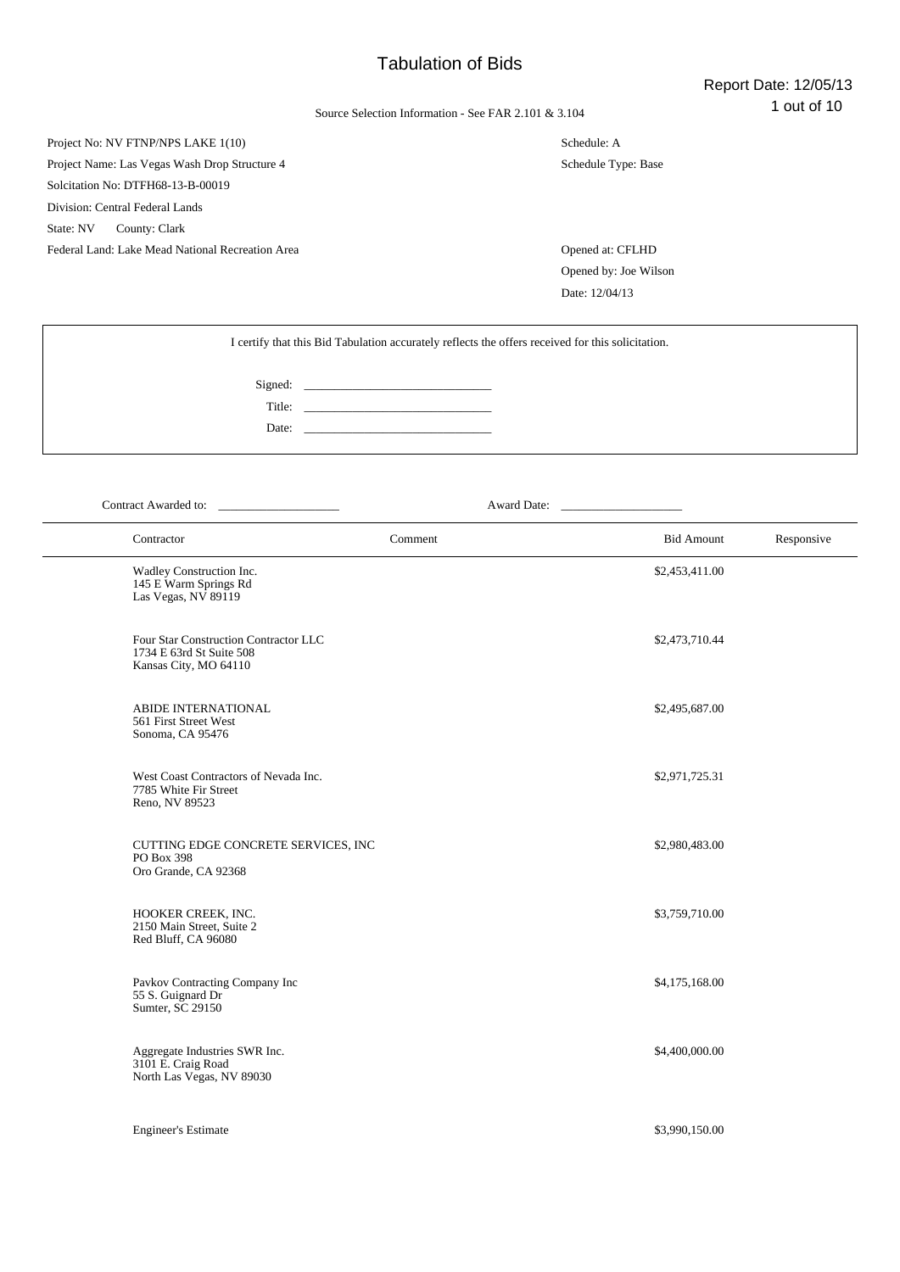1 out of 10 Source Selection Information - See FAR 2.101 & 3.104

Project No: NV FTNP/NPS LAKE 1(10)

Project Name: Las Vegas Wash Drop Structure 4

Solcitation No: DTFH68-13-B-00019

Division: Central Federal Lands

State: NV County: Clark

Federal Land: Lake Mead National Recreation Area **Opened at: CFLHD** Opened at: CFLHD

Schedule: A Schedule Type: Base

Opened by: Joe Wilson Date: 12/04/13

I certify that this Bid Tabulation accurately reflects the offers received for this solicitation.

| Signed: |  |
|---------|--|
| Title:  |  |
| Date:   |  |

Contract Awarded to: \_\_\_\_\_\_\_\_\_\_\_\_\_\_\_\_\_\_\_\_ Award Date: \_\_\_\_\_\_\_\_\_\_\_\_\_\_\_\_\_\_\_\_

| Contractor                            |                                                                                            | Comment | <b>Bid Amount</b> | Responsive |
|---------------------------------------|--------------------------------------------------------------------------------------------|---------|-------------------|------------|
|                                       | Wadley Construction Inc.<br>145 E Warm Springs Rd<br>Las Vegas, NV 89119                   |         | \$2,453,411.00    |            |
|                                       | Four Star Construction Contractor LLC<br>1734 E 63rd St Suite 508<br>Kansas City, MO 64110 |         | \$2,473,710.44    |            |
|                                       | ABIDE INTERNATIONAL<br>561 First Street West<br>Sonoma, CA 95476                           |         | \$2,495,687.00    |            |
| Reno, NV 89523                        | West Coast Contractors of Nevada Inc.<br>7785 White Fir Street                             |         | \$2,971,725.31    |            |
| PO Box 398                            | CUTTING EDGE CONCRETE SERVICES, INC<br>Oro Grande, CA 92368                                |         | \$2,980,483.00    |            |
|                                       | HOOKER CREEK, INC.<br>2150 Main Street, Suite 2<br>Red Bluff, CA 96080                     |         | \$3,759,710.00    |            |
| 55 S. Guignard Dr<br>Sumter, SC 29150 | Pavkov Contracting Company Inc                                                             |         | \$4,175,168.00    |            |
| 3101 E. Craig Road                    | Aggregate Industries SWR Inc.<br>North Las Vegas, NV 89030                                 |         | \$4,400,000.00    |            |
| <b>Engineer's Estimate</b>            |                                                                                            |         | \$3,990,150.00    |            |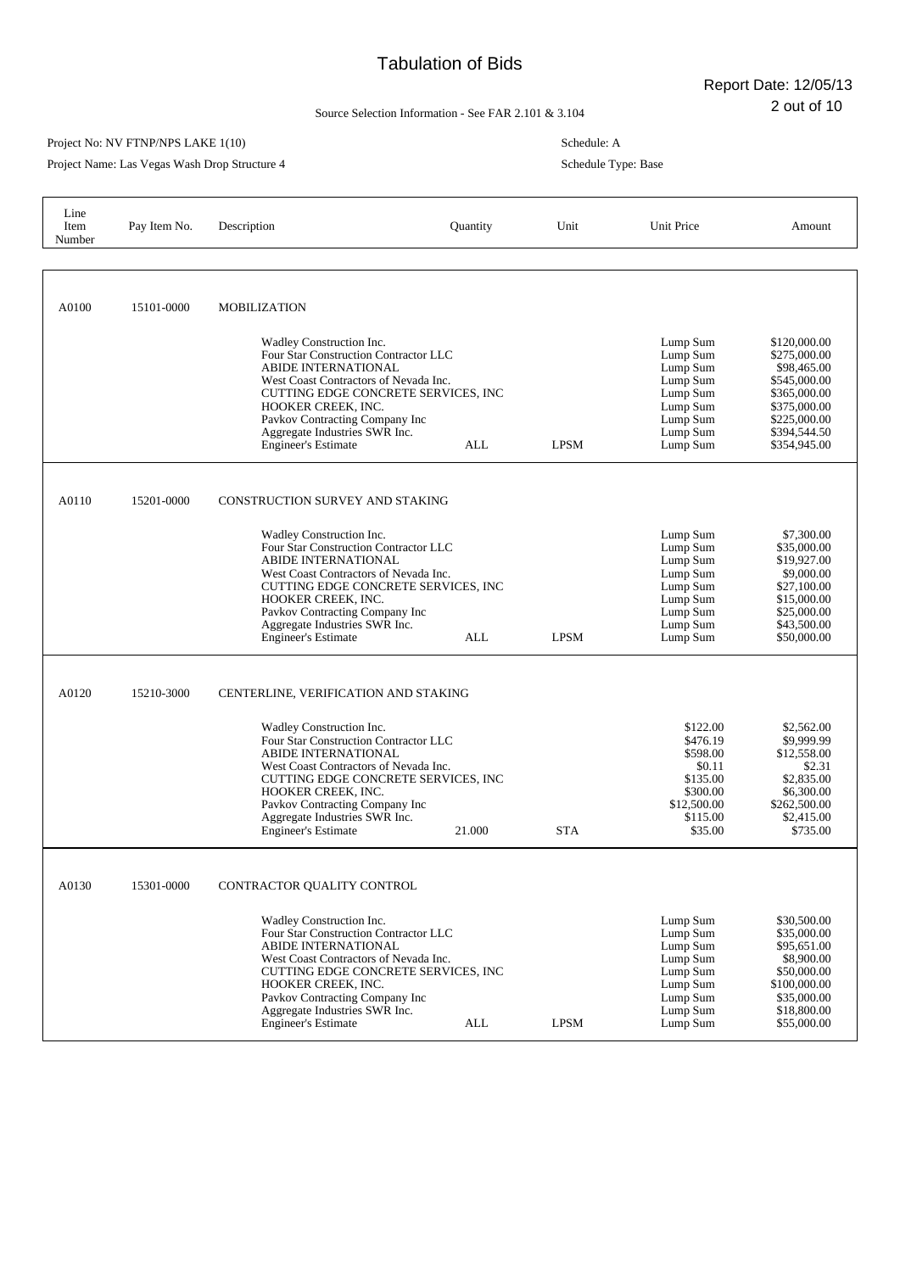Report Date: 12/05/13

2 out of 10 Source Selection Information - See FAR 2.101 & 3.104

### Project No: NV FTNP/NPS LAKE 1(10)

Project Name: Las Vegas Wash Drop Structure 4

Schedule: A

| Line<br>Item<br>Number | Pay Item No. | Description                                                                                                                                                                                                                                                                                            | Quantity   | Unit        | Unit Price                                                                                               | Amount                                                                                                                                      |
|------------------------|--------------|--------------------------------------------------------------------------------------------------------------------------------------------------------------------------------------------------------------------------------------------------------------------------------------------------------|------------|-------------|----------------------------------------------------------------------------------------------------------|---------------------------------------------------------------------------------------------------------------------------------------------|
|                        |              |                                                                                                                                                                                                                                                                                                        |            |             |                                                                                                          |                                                                                                                                             |
| A0100                  | 15101-0000   | <b>MOBILIZATION</b>                                                                                                                                                                                                                                                                                    |            |             |                                                                                                          |                                                                                                                                             |
|                        |              | Wadley Construction Inc.<br>Four Star Construction Contractor LLC<br><b>ABIDE INTERNATIONAL</b><br>West Coast Contractors of Nevada Inc.<br>CUTTING EDGE CONCRETE SERVICES, INC<br>HOOKER CREEK, INC.<br>Pavkov Contracting Company Inc<br>Aggregate Industries SWR Inc.<br><b>Engineer's Estimate</b> | <b>ALL</b> | <b>LPSM</b> | Lump Sum<br>Lump Sum<br>Lump Sum<br>Lump Sum<br>Lump Sum<br>Lump Sum<br>Lump Sum<br>Lump Sum<br>Lump Sum | \$120,000.00<br>\$275,000.00<br>\$98,465.00<br>\$545,000.00<br>\$365,000.00<br>\$375,000.00<br>\$225,000.00<br>\$394,544.50<br>\$354,945.00 |
| A0110                  | 15201-0000   | <b>CONSTRUCTION SURVEY AND STAKING</b>                                                                                                                                                                                                                                                                 |            |             |                                                                                                          |                                                                                                                                             |
|                        |              | Wadley Construction Inc.<br>Four Star Construction Contractor LLC<br><b>ABIDE INTERNATIONAL</b><br>West Coast Contractors of Nevada Inc.<br>CUTTING EDGE CONCRETE SERVICES, INC<br>HOOKER CREEK, INC.<br>Pavkov Contracting Company Inc<br>Aggregate Industries SWR Inc.<br><b>Engineer's Estimate</b> | <b>ALL</b> | <b>LPSM</b> | Lump Sum<br>Lump Sum<br>Lump Sum<br>Lump Sum<br>Lump Sum<br>Lump Sum<br>Lump Sum<br>Lump Sum<br>Lump Sum | \$7,300.00<br>\$35,000.00<br>\$19,927.00<br>\$9,000.00<br>\$27,100.00<br>\$15,000.00<br>\$25,000.00<br>\$43,500.00<br>\$50,000.00           |
| A0120                  | 15210-3000   | CENTERLINE, VERIFICATION AND STAKING                                                                                                                                                                                                                                                                   |            |             |                                                                                                          |                                                                                                                                             |
|                        |              | Wadley Construction Inc.<br>Four Star Construction Contractor LLC<br><b>ABIDE INTERNATIONAL</b><br>West Coast Contractors of Nevada Inc.<br>CUTTING EDGE CONCRETE SERVICES. INC<br>HOOKER CREEK, INC.<br>Pavkov Contracting Company Inc<br>Aggregate Industries SWR Inc.<br><b>Engineer's Estimate</b> | 21.000     | <b>STA</b>  | \$122.00<br>\$476.19<br>\$598.00<br>\$0.11<br>\$135.00<br>\$300.00<br>\$12,500.00<br>\$115.00<br>\$35.00 | \$2,562.00<br>\$9,999.99<br>\$12,558.00<br>\$2.31<br>\$2,835.00<br>\$6,300.00<br>\$262,500.00<br>\$2,415.00<br>\$735.00                     |
| A0130                  | 15301-0000   | CONTRACTOR QUALITY CONTROL                                                                                                                                                                                                                                                                             |            |             |                                                                                                          |                                                                                                                                             |
|                        |              | Wadley Construction Inc.<br>Four Star Construction Contractor LLC<br>ABIDE INTERNATIONAL<br>West Coast Contractors of Nevada Inc.<br>CUTTING EDGE CONCRETE SERVICES, INC<br>HOOKER CREEK, INC.<br>Pavkov Contracting Company Inc<br>Aggregate Industries SWR Inc.<br>Engineer's Estimate               | <b>ALL</b> | <b>LPSM</b> | Lump Sum<br>Lump Sum<br>Lump Sum<br>Lump Sum<br>Lump Sum<br>Lump Sum<br>Lump Sum<br>Lump Sum<br>Lump Sum | \$30,500.00<br>\$35,000.00<br>\$95,651.00<br>\$8,900.00<br>\$50,000.00<br>\$100,000.00<br>\$35,000.00<br>\$18,800.00<br>\$55,000.00         |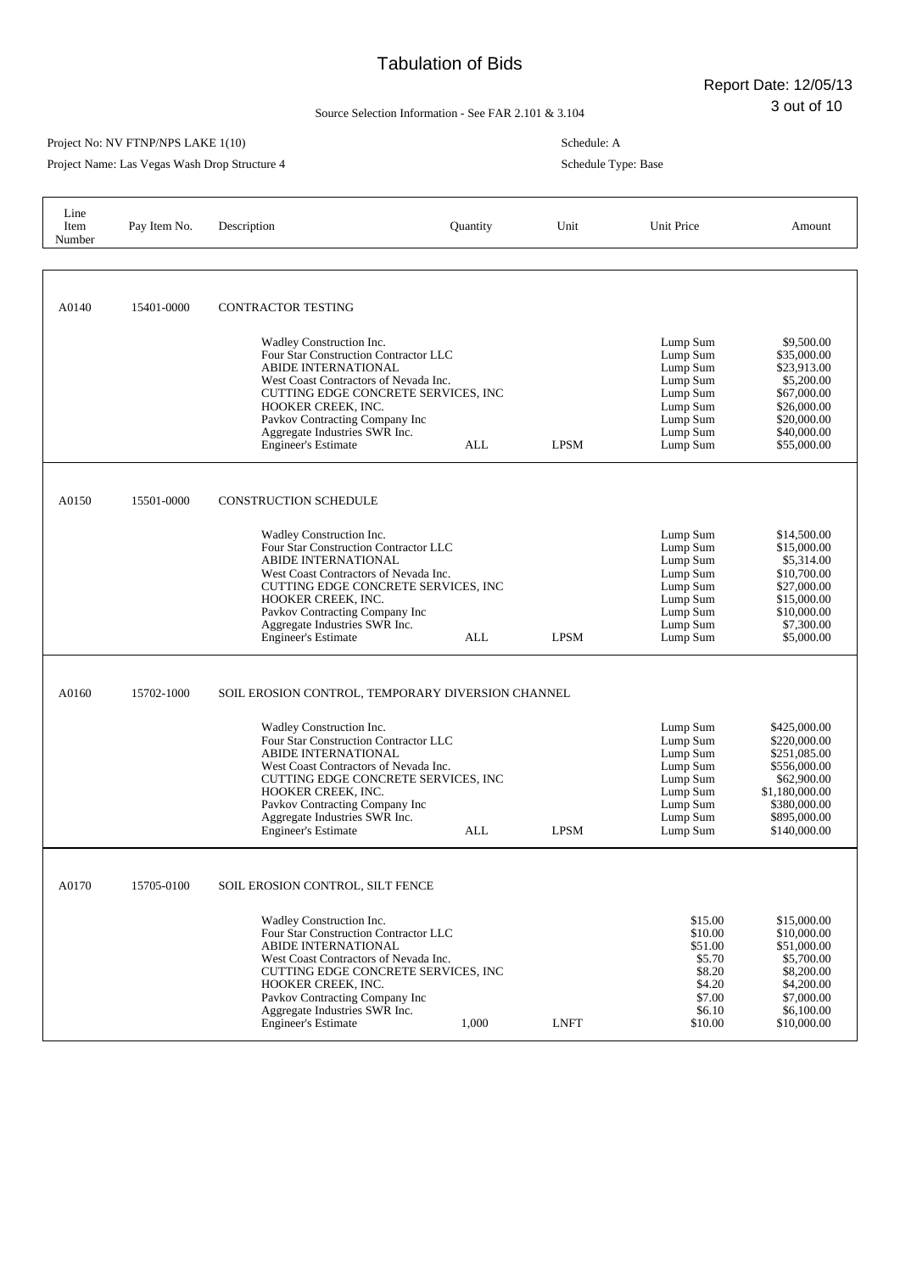Report Date: 12/05/13

3 out of 10 Source Selection Information - See FAR 2.101 & 3.104

#### Project No: NV FTNP/NPS LAKE 1(10)

Project Name: Las Vegas Wash Drop Structure 4

Schedule: A

| Line<br>Item<br>Number | Pay Item No. | Description                                                                                                                                                                                                                                                                                            | Quantity   | Unit        | Unit Price                                                                                               | Amount                                                                                                                                        |
|------------------------|--------------|--------------------------------------------------------------------------------------------------------------------------------------------------------------------------------------------------------------------------------------------------------------------------------------------------------|------------|-------------|----------------------------------------------------------------------------------------------------------|-----------------------------------------------------------------------------------------------------------------------------------------------|
|                        |              |                                                                                                                                                                                                                                                                                                        |            |             |                                                                                                          |                                                                                                                                               |
| A0140                  | 15401-0000   | <b>CONTRACTOR TESTING</b>                                                                                                                                                                                                                                                                              |            |             |                                                                                                          |                                                                                                                                               |
|                        |              | Wadley Construction Inc.<br>Four Star Construction Contractor LLC<br><b>ABIDE INTERNATIONAL</b><br>West Coast Contractors of Nevada Inc.<br>CUTTING EDGE CONCRETE SERVICES, INC<br>HOOKER CREEK, INC.<br>Pavkov Contracting Company Inc<br>Aggregate Industries SWR Inc.<br><b>Engineer's Estimate</b> | <b>ALL</b> | <b>LPSM</b> | Lump Sum<br>Lump Sum<br>Lump Sum<br>Lump Sum<br>Lump Sum<br>Lump Sum<br>Lump Sum<br>Lump Sum<br>Lump Sum | \$9,500.00<br>\$35,000.00<br>\$23,913.00<br>\$5,200.00<br>\$67,000.00<br>\$26,000.00<br>\$20,000.00<br>\$40,000.00<br>\$55,000.00             |
| A0150                  | 15501-0000   | <b>CONSTRUCTION SCHEDULE</b>                                                                                                                                                                                                                                                                           |            |             |                                                                                                          |                                                                                                                                               |
|                        |              | Wadley Construction Inc.<br>Four Star Construction Contractor LLC<br><b>ABIDE INTERNATIONAL</b><br>West Coast Contractors of Nevada Inc.<br>CUTTING EDGE CONCRETE SERVICES, INC<br>HOOKER CREEK, INC.<br>Pavkov Contracting Company Inc<br>Aggregate Industries SWR Inc.<br><b>Engineer's Estimate</b> | ALL        | <b>LPSM</b> | Lump Sum<br>Lump Sum<br>Lump Sum<br>Lump Sum<br>Lump Sum<br>Lump Sum<br>Lump Sum<br>Lump Sum<br>Lump Sum | \$14,500.00<br>\$15,000.00<br>\$5,314.00<br>\$10,700.00<br>\$27,000.00<br>\$15,000.00<br>\$10,000.00<br>\$7,300.00<br>\$5,000.00              |
| A0160                  | 15702-1000   | SOIL EROSION CONTROL, TEMPORARY DIVERSION CHANNEL                                                                                                                                                                                                                                                      |            |             |                                                                                                          |                                                                                                                                               |
|                        |              | Wadley Construction Inc.<br>Four Star Construction Contractor LLC<br><b>ABIDE INTERNATIONAL</b><br>West Coast Contractors of Nevada Inc.<br>CUTTING EDGE CONCRETE SERVICES, INC<br>HOOKER CREEK, INC.<br>Pavkov Contracting Company Inc<br>Aggregate Industries SWR Inc.<br><b>Engineer's Estimate</b> | ALL        | <b>LPSM</b> | Lump Sum<br>Lump Sum<br>Lump Sum<br>Lump Sum<br>Lump Sum<br>Lump Sum<br>Lump Sum<br>Lump Sum<br>Lump Sum | \$425,000.00<br>\$220,000.00<br>\$251,085.00<br>\$556,000.00<br>\$62,900.00<br>\$1,180,000.00<br>\$380,000.00<br>\$895,000.00<br>\$140,000.00 |
| A0170                  | 15705-0100   | SOIL EROSION CONTROL, SILT FENCE                                                                                                                                                                                                                                                                       |            |             |                                                                                                          |                                                                                                                                               |
|                        |              | Wadley Construction Inc.<br>Four Star Construction Contractor LLC<br><b>ABIDE INTERNATIONAL</b><br>West Coast Contractors of Nevada Inc.<br>CUTTING EDGE CONCRETE SERVICES, INC<br>HOOKER CREEK, INC.<br>Pavkov Contracting Company Inc<br>Aggregate Industries SWR Inc.<br><b>Engineer's Estimate</b> | 1,000      | <b>LNFT</b> | \$15.00<br>\$10.00<br>\$51.00<br>\$5.70<br>\$8.20<br>\$4.20<br>\$7.00<br>\$6.10<br>\$10.00               | \$15,000.00<br>\$10,000.00<br>\$51,000.00<br>\$5,700.00<br>\$8,200.00<br>\$4,200.00<br>\$7,000.00<br>\$6,100.00<br>\$10,000.00                |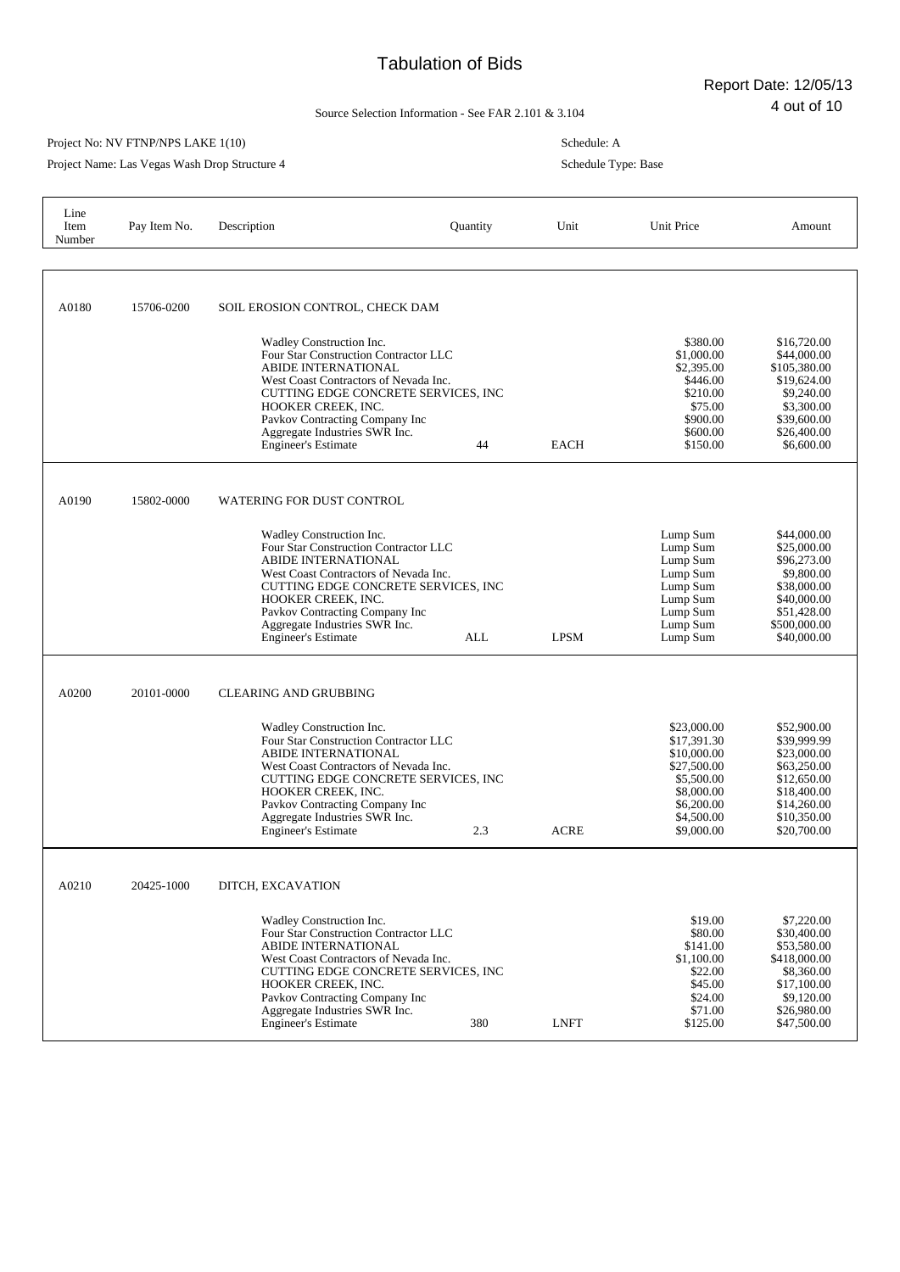Report Date: 12/05/13

4 out of 10 Source Selection Information - See FAR 2.101 & 3.104

#### Project No: NV FTNP/NPS LAKE 1(10)

Project Name: Las Vegas Wash Drop Structure 4

Schedule: A Schedule Type: Base

| Line<br>Item<br>Number | Pay Item No. | Description                                                                                                                                                                                                                                                                                                   | Quantity | Unit        | Unit Price                                                                                                                     | Amount                                                                                                                              |
|------------------------|--------------|---------------------------------------------------------------------------------------------------------------------------------------------------------------------------------------------------------------------------------------------------------------------------------------------------------------|----------|-------------|--------------------------------------------------------------------------------------------------------------------------------|-------------------------------------------------------------------------------------------------------------------------------------|
| A0180                  | 15706-0200   | SOIL EROSION CONTROL, CHECK DAM                                                                                                                                                                                                                                                                               |          |             |                                                                                                                                |                                                                                                                                     |
|                        |              | Wadley Construction Inc.<br>Four Star Construction Contractor LLC<br><b>ABIDE INTERNATIONAL</b><br>West Coast Contractors of Nevada Inc.<br>CUTTING EDGE CONCRETE SERVICES, INC<br>HOOKER CREEK, INC.<br>Pavkov Contracting Company Inc<br>Aggregate Industries SWR Inc.<br><b>Engineer's Estimate</b>        | 44       | <b>EACH</b> | \$380.00<br>\$1,000.00<br>\$2,395.00<br>\$446.00<br>\$210.00<br>\$75.00<br>\$900.00<br>\$600.00<br>\$150.00                    | \$16,720.00<br>\$44,000.00<br>\$105,380.00<br>\$19,624.00<br>\$9,240.00<br>\$3,300.00<br>\$39,600.00<br>\$26,400.00<br>\$6,600.00   |
| A0190                  | 15802-0000   | <b>WATERING FOR DUST CONTROL</b>                                                                                                                                                                                                                                                                              |          |             |                                                                                                                                |                                                                                                                                     |
|                        |              | Wadley Construction Inc.<br>Four Star Construction Contractor LLC<br><b>ABIDE INTERNATIONAL</b><br>West Coast Contractors of Nevada Inc.<br>CUTTING EDGE CONCRETE SERVICES, INC<br><b>HOOKER CREEK, INC.</b><br>Pavkov Contracting Company Inc<br>Aggregate Industries SWR Inc.<br><b>Engineer's Estimate</b> | ALL      | <b>LPSM</b> | Lump Sum<br>Lump Sum<br>Lump Sum<br>Lump Sum<br>Lump Sum<br>Lump Sum<br>Lump Sum<br>Lump Sum<br>Lump Sum                       | \$44,000.00<br>\$25,000.00<br>\$96,273.00<br>\$9,800.00<br>\$38,000.00<br>\$40,000.00<br>\$51,428.00<br>\$500,000.00<br>\$40,000.00 |
| A0200                  | 20101-0000   | <b>CLEARING AND GRUBBING</b>                                                                                                                                                                                                                                                                                  |          |             |                                                                                                                                |                                                                                                                                     |
|                        |              | Wadley Construction Inc.<br>Four Star Construction Contractor LLC<br><b>ABIDE INTERNATIONAL</b><br>West Coast Contractors of Nevada Inc.<br>CUTTING EDGE CONCRETE SERVICES, INC<br>HOOKER CREEK, INC.<br>Pavkov Contracting Company Inc<br>Aggregate Industries SWR Inc.<br><b>Engineer's Estimate</b>        | 2.3      | <b>ACRE</b> | \$23,000.00<br>\$17,391.30<br>\$10,000.00<br>\$27,500.00<br>\$5,500.00<br>\$8,000.00<br>\$6,200.00<br>\$4,500.00<br>\$9,000.00 | \$52,900.00<br>\$39,999.99<br>\$23,000.00<br>\$63,250.00<br>\$12,650.00<br>\$18,400.00<br>\$14,260.00<br>\$10,350.00<br>\$20,700.00 |
| A0210                  | 20425-1000   | DITCH, EXCAVATION                                                                                                                                                                                                                                                                                             |          |             |                                                                                                                                |                                                                                                                                     |
|                        |              | Wadley Construction Inc.<br>Four Star Construction Contractor LLC<br>ABIDE INTERNATIONAL<br>West Coast Contractors of Nevada Inc.<br>CUTTING EDGE CONCRETE SERVICES, INC<br>HOOKER CREEK, INC.<br>Pavkov Contracting Company Inc<br>Aggregate Industries SWR Inc.<br><b>Engineer's Estimate</b>               | 380      | <b>LNFT</b> | \$19.00<br>\$80.00<br>\$141.00<br>\$1,100.00<br>\$22.00<br>\$45.00<br>\$24.00<br>\$71.00<br>\$125.00                           | \$7,220.00<br>\$30,400.00<br>\$53,580.00<br>\$418,000.00<br>\$8,360.00<br>\$17,100.00<br>\$9,120.00<br>\$26,980.00<br>\$47,500.00   |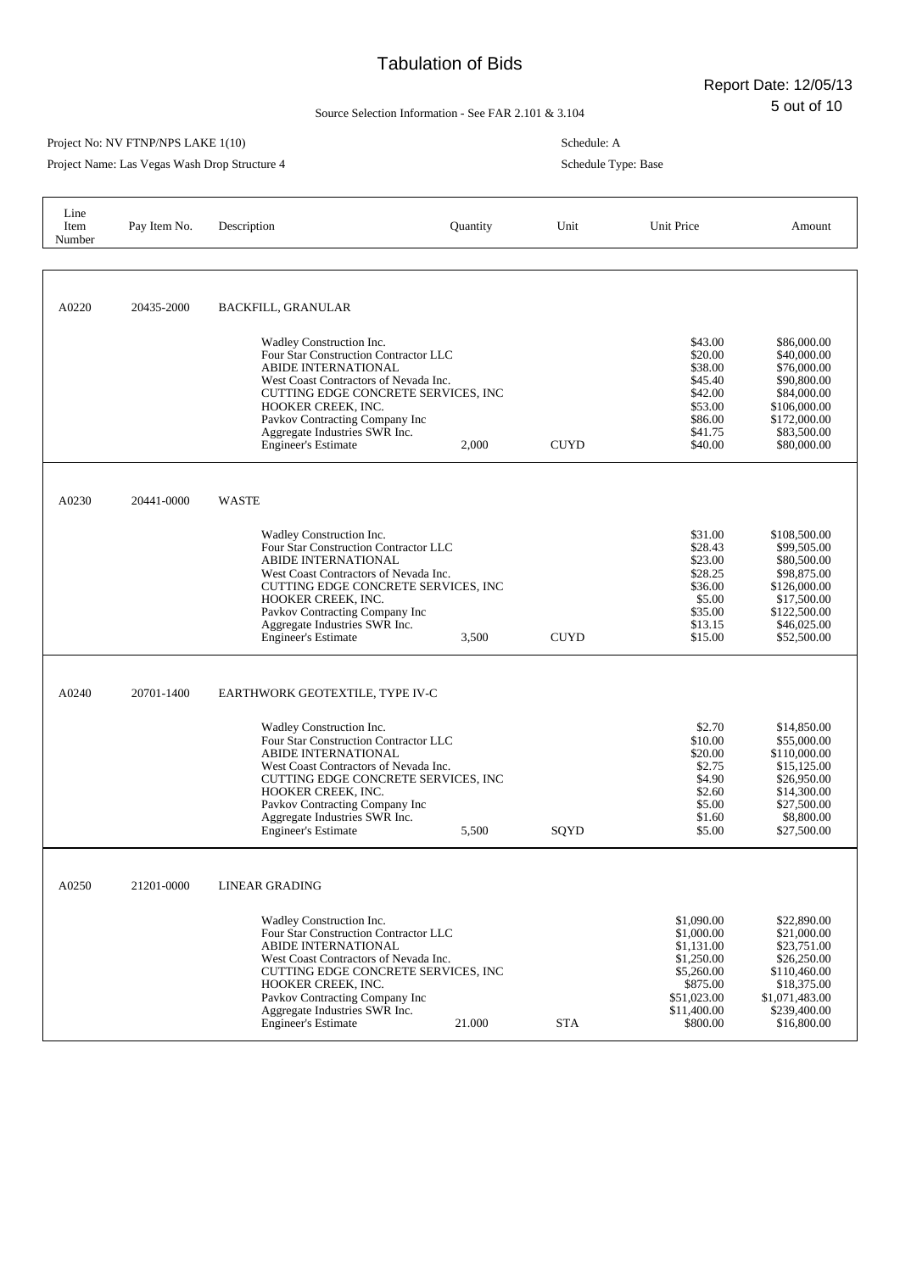Report Date: 12/05/13

5 out of 10 Source Selection Information - See FAR 2.101 & 3.104

#### Project No: NV FTNP/NPS LAKE 1(10)

Project Name: Las Vegas Wash Drop Structure 4

Schedule: A

| Line<br>Item<br>Number | Pay Item No. | Description                                                                                                                                                                                                                                                                                            | Quantity | Unit        | <b>Unit Price</b>                                                                                                        | Amount                                                                                                                                   |
|------------------------|--------------|--------------------------------------------------------------------------------------------------------------------------------------------------------------------------------------------------------------------------------------------------------------------------------------------------------|----------|-------------|--------------------------------------------------------------------------------------------------------------------------|------------------------------------------------------------------------------------------------------------------------------------------|
|                        |              |                                                                                                                                                                                                                                                                                                        |          |             |                                                                                                                          |                                                                                                                                          |
| A0220                  | 20435-2000   | <b>BACKFILL, GRANULAR</b>                                                                                                                                                                                                                                                                              |          |             |                                                                                                                          |                                                                                                                                          |
|                        |              | Wadley Construction Inc.<br>Four Star Construction Contractor LLC<br>ABIDE INTERNATIONAL<br>West Coast Contractors of Nevada Inc.<br>CUTTING EDGE CONCRETE SERVICES, INC<br>HOOKER CREEK. INC.<br>Pavkov Contracting Company Inc<br>Aggregate Industries SWR Inc.<br><b>Engineer's Estimate</b>        | 2,000    | <b>CUYD</b> | \$43.00<br>\$20.00<br>\$38.00<br>\$45.40<br>\$42.00<br>\$53.00<br>\$86.00<br>\$41.75<br>\$40.00                          | \$86,000.00<br>\$40,000.00<br>\$76,000.00<br>\$90,800.00<br>\$84,000.00<br>\$106,000.00<br>\$172,000.00<br>\$83,500.00<br>\$80,000.00    |
| A0230                  | 20441-0000   | <b>WASTE</b>                                                                                                                                                                                                                                                                                           |          |             |                                                                                                                          |                                                                                                                                          |
|                        |              | Wadley Construction Inc.<br>Four Star Construction Contractor LLC<br><b>ABIDE INTERNATIONAL</b><br>West Coast Contractors of Nevada Inc.<br>CUTTING EDGE CONCRETE SERVICES, INC<br>HOOKER CREEK, INC.<br>Pavkov Contracting Company Inc<br>Aggregate Industries SWR Inc.<br><b>Engineer's Estimate</b> | 3,500    | <b>CUYD</b> | \$31.00<br>\$28.43<br>\$23.00<br>\$28.25<br>\$36.00<br>\$5.00<br>\$35.00<br>\$13.15<br>\$15.00                           | \$108,500.00<br>\$99,505.00<br>\$80,500.00<br>\$98,875.00<br>\$126,000.00<br>\$17,500.00<br>\$122,500.00<br>\$46,025.00<br>\$52,500.00   |
| A0240                  | 20701-1400   | EARTHWORK GEOTEXTILE, TYPE IV-C                                                                                                                                                                                                                                                                        |          |             |                                                                                                                          |                                                                                                                                          |
|                        |              | Wadley Construction Inc.<br>Four Star Construction Contractor LLC<br><b>ABIDE INTERNATIONAL</b><br>West Coast Contractors of Nevada Inc.<br>CUTTING EDGE CONCRETE SERVICES. INC<br>HOOKER CREEK, INC.<br>Pavkov Contracting Company Inc<br>Aggregate Industries SWR Inc.<br><b>Engineer's Estimate</b> | 5,500    | SQYD        | \$2.70<br>\$10.00<br>\$20.00<br>\$2.75<br>\$4.90<br>\$2.60<br>\$5.00<br>\$1.60<br>\$5.00                                 | \$14,850.00<br>\$55,000.00<br>\$110,000.00<br>\$15,125.00<br>\$26,950.00<br>\$14,300.00<br>\$27,500.00<br>\$8,800.00<br>\$27,500.00      |
| A0250                  | 21201-0000   | LINEAR GRADING                                                                                                                                                                                                                                                                                         |          |             |                                                                                                                          |                                                                                                                                          |
|                        |              | Wadley Construction Inc.<br>Four Star Construction Contractor LLC<br><b>ABIDE INTERNATIONAL</b><br>West Coast Contractors of Nevada Inc.<br>CUTTING EDGE CONCRETE SERVICES, INC<br>HOOKER CREEK, INC.<br>Pavkov Contracting Company Inc<br>Aggregate Industries SWR Inc.<br><b>Engineer's Estimate</b> | 21.000   | <b>STA</b>  | \$1,090.00<br>\$1,000.00<br>\$1,131.00<br>\$1,250.00<br>\$5,260.00<br>\$875.00<br>\$51,023.00<br>\$11,400.00<br>\$800.00 | \$22,890.00<br>\$21,000.00<br>\$23,751.00<br>\$26,250.00<br>\$110,460.00<br>\$18,375.00<br>\$1,071,483.00<br>\$239,400.00<br>\$16,800.00 |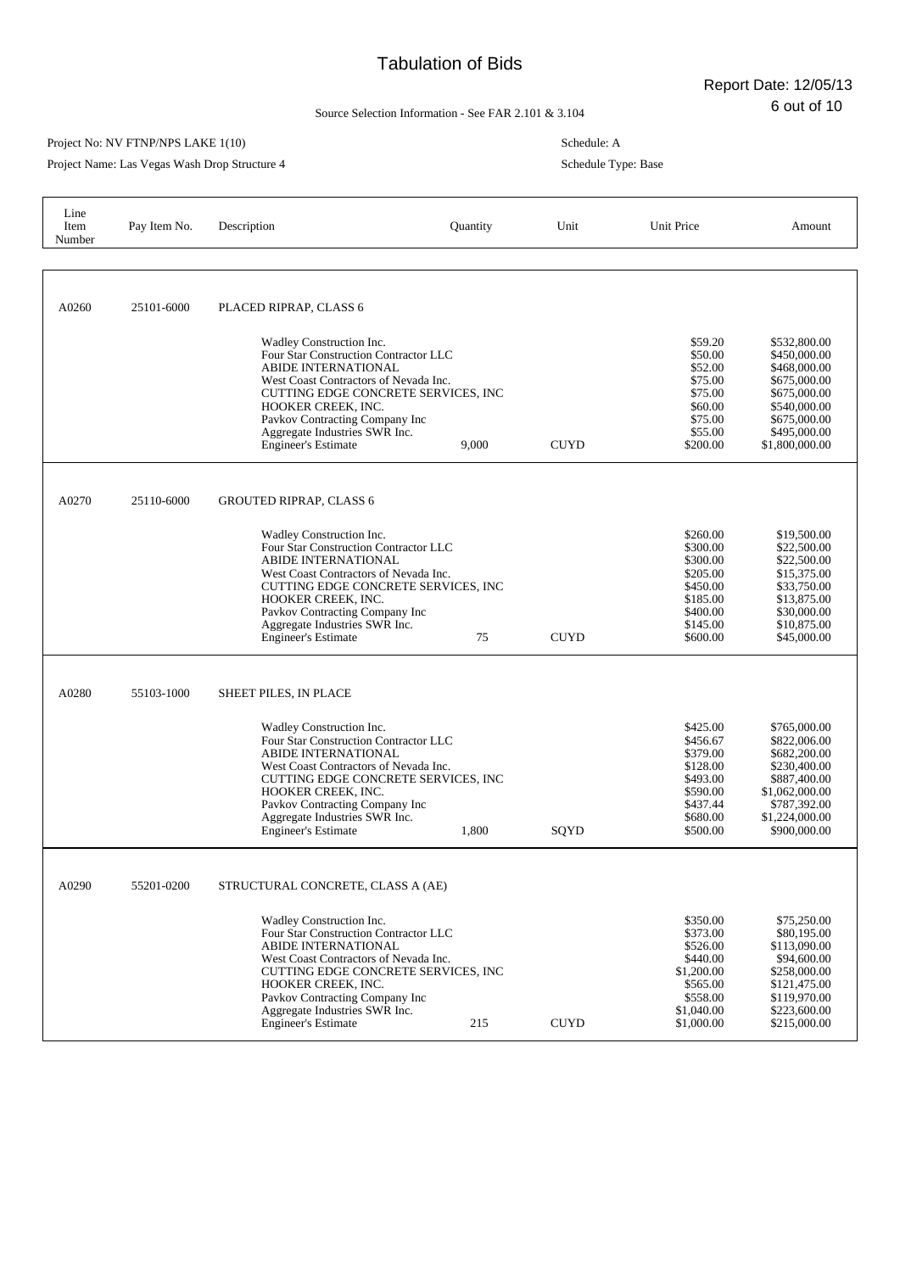Report Date: 12/05/13

٦

6 out of 10 Source Selection Information - See FAR 2.101 & 3.104

#### Project No: NV FTNP/NPS LAKE 1(10)

Project Name: Las Vegas Wash Drop Structure 4

Schedule: A

| Line<br>Item<br>Number | Pay Item No. | Description                                                                                                                                                                                                                                                                                            | Quantity | Unit        | <b>Unit Price</b>                                                                                              | Amount                                                                                                                                           |
|------------------------|--------------|--------------------------------------------------------------------------------------------------------------------------------------------------------------------------------------------------------------------------------------------------------------------------------------------------------|----------|-------------|----------------------------------------------------------------------------------------------------------------|--------------------------------------------------------------------------------------------------------------------------------------------------|
|                        |              |                                                                                                                                                                                                                                                                                                        |          |             |                                                                                                                |                                                                                                                                                  |
| A0260                  | 25101-6000   | PLACED RIPRAP, CLASS 6                                                                                                                                                                                                                                                                                 |          |             |                                                                                                                |                                                                                                                                                  |
|                        |              | Wadley Construction Inc.<br>Four Star Construction Contractor LLC<br><b>ABIDE INTERNATIONAL</b><br>West Coast Contractors of Nevada Inc.<br>CUTTING EDGE CONCRETE SERVICES, INC<br>HOOKER CREEK. INC.<br>Pavkov Contracting Company Inc<br>Aggregate Industries SWR Inc.<br><b>Engineer's Estimate</b> | 9,000    | <b>CUYD</b> | \$59.20<br>\$50.00<br>\$52.00<br>\$75.00<br>\$75.00<br>\$60.00<br>\$75.00<br>\$55.00<br>\$200.00               | \$532,800.00<br>\$450,000.00<br>\$468,000.00<br>\$675,000.00<br>\$675,000.00<br>\$540,000.00<br>\$675,000.00<br>\$495,000.00<br>\$1,800,000.00   |
| A0270                  | 25110-6000   | <b>GROUTED RIPRAP, CLASS 6</b>                                                                                                                                                                                                                                                                         |          |             |                                                                                                                |                                                                                                                                                  |
|                        |              | Wadley Construction Inc.<br>Four Star Construction Contractor LLC<br><b>ABIDE INTERNATIONAL</b><br>West Coast Contractors of Nevada Inc.<br>CUTTING EDGE CONCRETE SERVICES, INC<br>HOOKER CREEK. INC.<br>Pavkov Contracting Company Inc<br>Aggregate Industries SWR Inc.<br><b>Engineer's Estimate</b> | 75       | <b>CUYD</b> | \$260.00<br>\$300.00<br>\$300.00<br>\$205.00<br>\$450.00<br>\$185.00<br>\$400.00<br>\$145.00<br>\$600.00       | \$19,500.00<br>\$22,500.00<br>\$22,500.00<br>\$15,375.00<br>\$33,750.00<br>\$13,875.00<br>\$30,000.00<br>\$10,875.00<br>\$45,000.00              |
| A0280                  | 55103-1000   | SHEET PILES, IN PLACE                                                                                                                                                                                                                                                                                  |          |             |                                                                                                                |                                                                                                                                                  |
|                        |              | Wadley Construction Inc.<br>Four Star Construction Contractor LLC<br><b>ABIDE INTERNATIONAL</b><br>West Coast Contractors of Nevada Inc.<br>CUTTING EDGE CONCRETE SERVICES, INC<br>HOOKER CREEK, INC.<br>Pavkov Contracting Company Inc<br>Aggregate Industries SWR Inc.<br><b>Engineer's Estimate</b> | 1,800    | SQYD        | \$425.00<br>\$456.67<br>\$379.00<br>\$128.00<br>\$493.00<br>\$590.00<br>\$437.44<br>\$680.00<br>\$500.00       | \$765,000.00<br>\$822,006.00<br>\$682,200.00<br>\$230,400.00<br>\$887,400.00<br>\$1,062,000.00<br>\$787,392.00<br>\$1,224,000.00<br>\$900,000.00 |
| A0290                  | 55201-0200   | STRUCTURAL CONCRETE, CLASS A (AE)                                                                                                                                                                                                                                                                      |          |             |                                                                                                                |                                                                                                                                                  |
|                        |              | Wadley Construction Inc.<br>Four Star Construction Contractor LLC<br><b>ABIDE INTERNATIONAL</b><br>West Coast Contractors of Nevada Inc.<br>CUTTING EDGE CONCRETE SERVICES, INC<br>HOOKER CREEK, INC.<br>Paykov Contracting Company Inc<br>Aggregate Industries SWR Inc.<br><b>Engineer's Estimate</b> | 215      | <b>CUYD</b> | \$350.00<br>\$373.00<br>\$526.00<br>\$440.00<br>\$1,200.00<br>\$565.00<br>\$558.00<br>\$1,040.00<br>\$1,000.00 | \$75,250.00<br>\$80,195.00<br>\$113,090.00<br>\$94,600.00<br>\$258,000.00<br>\$121,475.00<br>\$119,970.00<br>\$223,600.00<br>\$215,000.00        |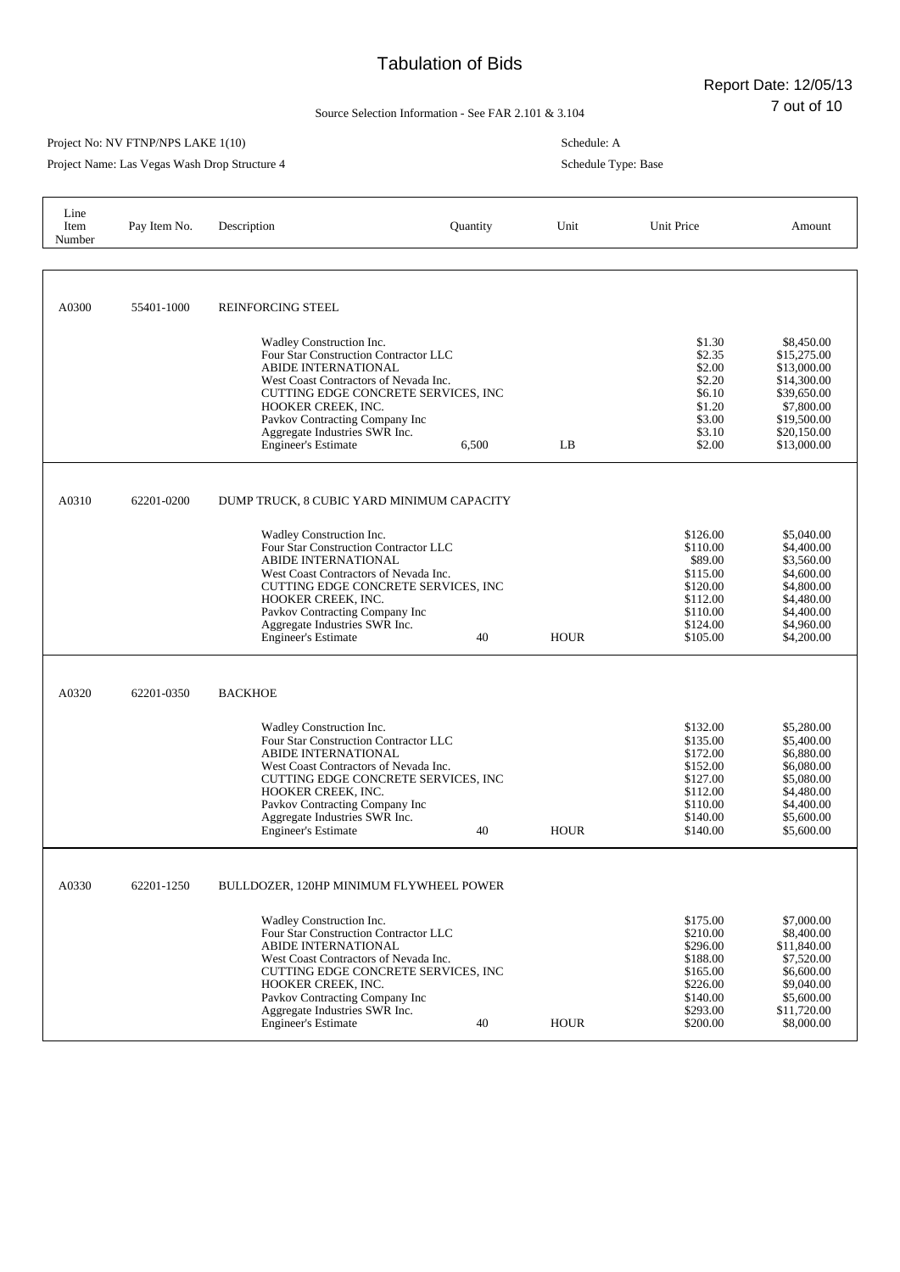Report Date: 12/05/13

7 out of 10 Source Selection Information - See FAR 2.101 & 3.104

#### Project No: NV FTNP/NPS LAKE 1(10)

Project Name: Las Vegas Wash Drop Structure 4

Schedule: A

| Line<br>Item<br>Number | Pay Item No. | Description                                                                                                                                                                                                                                                                                            | Quantity | Unit        | Unit Price                                                                                               | Amount                                                                                                                            |
|------------------------|--------------|--------------------------------------------------------------------------------------------------------------------------------------------------------------------------------------------------------------------------------------------------------------------------------------------------------|----------|-------------|----------------------------------------------------------------------------------------------------------|-----------------------------------------------------------------------------------------------------------------------------------|
|                        |              |                                                                                                                                                                                                                                                                                                        |          |             |                                                                                                          |                                                                                                                                   |
| A0300                  | 55401-1000   | <b>REINFORCING STEEL</b>                                                                                                                                                                                                                                                                               |          |             |                                                                                                          |                                                                                                                                   |
|                        |              | Wadley Construction Inc.<br>Four Star Construction Contractor LLC<br><b>ABIDE INTERNATIONAL</b><br>West Coast Contractors of Nevada Inc.<br>CUTTING EDGE CONCRETE SERVICES, INC<br>HOOKER CREEK, INC.<br>Pavkov Contracting Company Inc<br>Aggregate Industries SWR Inc.<br><b>Engineer's Estimate</b> | 6,500    | LB          | \$1.30<br>\$2.35<br>\$2.00<br>\$2.20<br>\$6.10<br>\$1.20<br>\$3.00<br>\$3.10<br>\$2.00                   | \$8,450.00<br>\$15,275.00<br>\$13,000.00<br>\$14,300.00<br>\$39,650.00<br>\$7,800.00<br>\$19,500.00<br>\$20,150.00<br>\$13,000.00 |
| A0310                  | 62201-0200   | DUMP TRUCK, 8 CUBIC YARD MINIMUM CAPACITY                                                                                                                                                                                                                                                              |          |             |                                                                                                          |                                                                                                                                   |
|                        |              | Wadley Construction Inc.<br>Four Star Construction Contractor LLC<br><b>ABIDE INTERNATIONAL</b><br>West Coast Contractors of Nevada Inc.<br>CUTTING EDGE CONCRETE SERVICES, INC<br>HOOKER CREEK. INC.<br>Pavkov Contracting Company Inc<br>Aggregate Industries SWR Inc.<br><b>Engineer's Estimate</b> | 40       | <b>HOUR</b> | \$126.00<br>\$110.00<br>\$89.00<br>\$115.00<br>\$120.00<br>\$112.00<br>\$110.00<br>\$124.00<br>\$105.00  | \$5,040.00<br>\$4,400.00<br>\$3,560.00<br>\$4,600.00<br>\$4,800.00<br>\$4,480.00<br>\$4,400.00<br>\$4,960.00<br>\$4,200.00        |
| A0320                  | 62201-0350   | <b>BACKHOE</b>                                                                                                                                                                                                                                                                                         |          |             |                                                                                                          |                                                                                                                                   |
|                        |              | Wadley Construction Inc.<br>Four Star Construction Contractor LLC<br><b>ABIDE INTERNATIONAL</b><br>West Coast Contractors of Nevada Inc.<br>CUTTING EDGE CONCRETE SERVICES, INC<br>HOOKER CREEK, INC.<br>Pavkov Contracting Company Inc<br>Aggregate Industries SWR Inc.<br><b>Engineer's Estimate</b> | 40       | <b>HOUR</b> | \$132.00<br>\$135.00<br>\$172.00<br>\$152.00<br>\$127.00<br>\$112.00<br>\$110.00<br>\$140.00<br>\$140.00 | \$5,280.00<br>\$5,400.00<br>\$6,880.00<br>\$6,080.00<br>\$5,080.00<br>\$4,480.00<br>\$4,400.00<br>\$5,600.00<br>\$5,600.00        |
| A0330                  | 62201-1250   | BULLDOZER, 120HP MINIMUM FLYWHEEL POWER                                                                                                                                                                                                                                                                |          |             |                                                                                                          |                                                                                                                                   |
|                        |              | Wadley Construction Inc.<br>Four Star Construction Contractor LLC<br><b>ABIDE INTERNATIONAL</b><br>West Coast Contractors of Nevada Inc.<br>CUTTING EDGE CONCRETE SERVICES, INC<br>HOOKER CREEK, INC.<br>Pavkov Contracting Company Inc<br>Aggregate Industries SWR Inc.<br><b>Engineer's Estimate</b> | 40       | <b>HOUR</b> | \$175.00<br>\$210.00<br>\$296.00<br>\$188.00<br>\$165.00<br>\$226.00<br>\$140.00<br>\$293.00<br>\$200.00 | \$7,000.00<br>\$8,400.00<br>\$11,840.00<br>\$7,520.00<br>\$6,600.00<br>\$9,040.00<br>\$5,600.00<br>\$11,720.00<br>\$8,000.00      |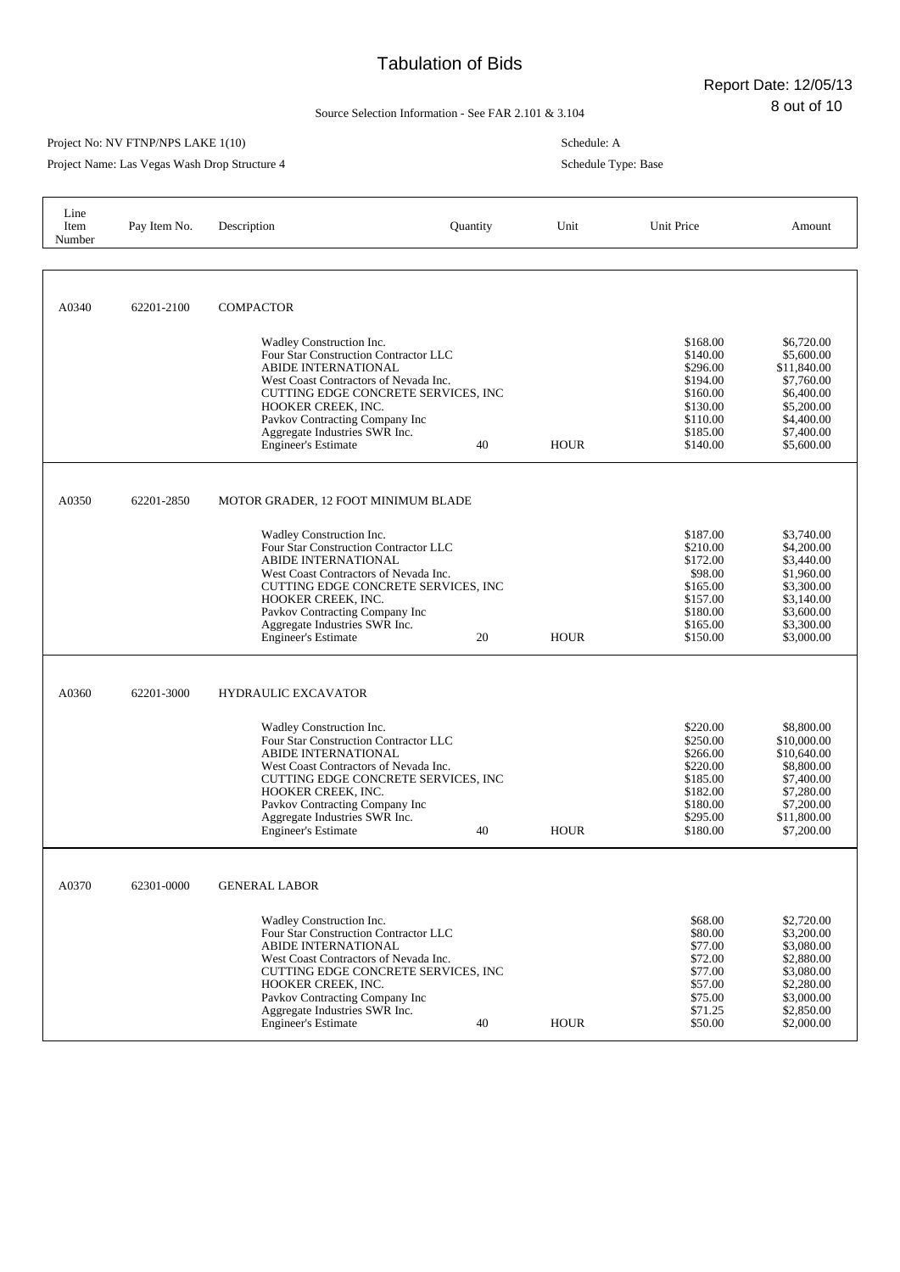Report Date: 12/05/13

8 out of 10 Source Selection Information - See FAR 2.101 & 3.104

#### Project No: NV FTNP/NPS LAKE 1(10)

Project Name: Las Vegas Wash Drop Structure 4

Schedule: A

| Line<br>Item<br>Number | Pay Item No. | Description                                                                                                                                                                                                                                                                                            | Quantity | Unit        | Unit Price                                                                                               | Amount                                                                                                                        |
|------------------------|--------------|--------------------------------------------------------------------------------------------------------------------------------------------------------------------------------------------------------------------------------------------------------------------------------------------------------|----------|-------------|----------------------------------------------------------------------------------------------------------|-------------------------------------------------------------------------------------------------------------------------------|
|                        |              |                                                                                                                                                                                                                                                                                                        |          |             |                                                                                                          |                                                                                                                               |
| A0340                  | 62201-2100   | <b>COMPACTOR</b>                                                                                                                                                                                                                                                                                       |          |             |                                                                                                          |                                                                                                                               |
|                        |              | Wadley Construction Inc.<br>Four Star Construction Contractor LLC<br><b>ABIDE INTERNATIONAL</b><br>West Coast Contractors of Nevada Inc.<br>CUTTING EDGE CONCRETE SERVICES, INC<br>HOOKER CREEK, INC.<br>Pavkov Contracting Company Inc<br>Aggregate Industries SWR Inc.<br><b>Engineer's Estimate</b> | 40       | <b>HOUR</b> | \$168.00<br>\$140.00<br>\$296.00<br>\$194.00<br>\$160.00<br>\$130.00<br>\$110.00<br>\$185.00<br>\$140.00 | \$6,720.00<br>\$5,600.00<br>\$11,840.00<br>\$7,760.00<br>\$6,400.00<br>\$5,200.00<br>\$4,400.00<br>\$7,400.00<br>\$5,600.00   |
| A0350                  | 62201-2850   | MOTOR GRADER, 12 FOOT MINIMUM BLADE                                                                                                                                                                                                                                                                    |          |             |                                                                                                          |                                                                                                                               |
|                        |              | Wadley Construction Inc.<br>Four Star Construction Contractor LLC<br><b>ABIDE INTERNATIONAL</b><br>West Coast Contractors of Nevada Inc.<br>CUTTING EDGE CONCRETE SERVICES, INC<br>HOOKER CREEK. INC.<br>Pavkov Contracting Company Inc<br>Aggregate Industries SWR Inc.<br><b>Engineer's Estimate</b> | 20       | <b>HOUR</b> | \$187.00<br>\$210.00<br>\$172.00<br>\$98.00<br>\$165.00<br>\$157.00<br>\$180.00<br>\$165.00<br>\$150.00  | \$3,740.00<br>\$4,200.00<br>\$3,440.00<br>\$1,960.00<br>\$3,300.00<br>\$3,140.00<br>\$3,600.00<br>\$3,300.00<br>\$3,000.00    |
| A0360                  | 62201-3000   | <b>HYDRAULIC EXCAVATOR</b>                                                                                                                                                                                                                                                                             |          |             |                                                                                                          |                                                                                                                               |
|                        |              | Wadley Construction Inc.<br>Four Star Construction Contractor LLC<br>ABIDE INTERNATIONAL<br>West Coast Contractors of Nevada Inc.<br>CUTTING EDGE CONCRETE SERVICES, INC<br>HOOKER CREEK, INC.<br>Pavkov Contracting Company Inc<br>Aggregate Industries SWR Inc.<br><b>Engineer's Estimate</b>        | 40       | <b>HOUR</b> | \$220.00<br>\$250.00<br>\$266.00<br>\$220.00<br>\$185.00<br>\$182.00<br>\$180.00<br>\$295.00<br>\$180.00 | \$8,800.00<br>\$10,000.00<br>\$10,640.00<br>\$8,800.00<br>\$7,400.00<br>\$7,280.00<br>\$7,200.00<br>\$11,800.00<br>\$7,200.00 |
| A0370                  | 62301-0000   | <b>GENERAL LABOR</b>                                                                                                                                                                                                                                                                                   |          |             |                                                                                                          |                                                                                                                               |
|                        |              | Wadley Construction Inc.<br>Four Star Construction Contractor LLC<br><b>ABIDE INTERNATIONAL</b><br>West Coast Contractors of Nevada Inc.<br>CUTTING EDGE CONCRETE SERVICES, INC<br>HOOKER CREEK, INC.<br>Pavkov Contracting Company Inc<br>Aggregate Industries SWR Inc.<br><b>Engineer's Estimate</b> | 40       | <b>HOUR</b> | \$68.00<br>\$80.00<br>\$77.00<br>\$72.00<br>\$77.00<br>\$57.00<br>\$75.00<br>\$71.25<br>\$50.00          | \$2,720.00<br>\$3,200.00<br>\$3,080.00<br>\$2,880.00<br>\$3,080.00<br>\$2,280.00<br>\$3,000.00<br>\$2,850.00<br>\$2,000.00    |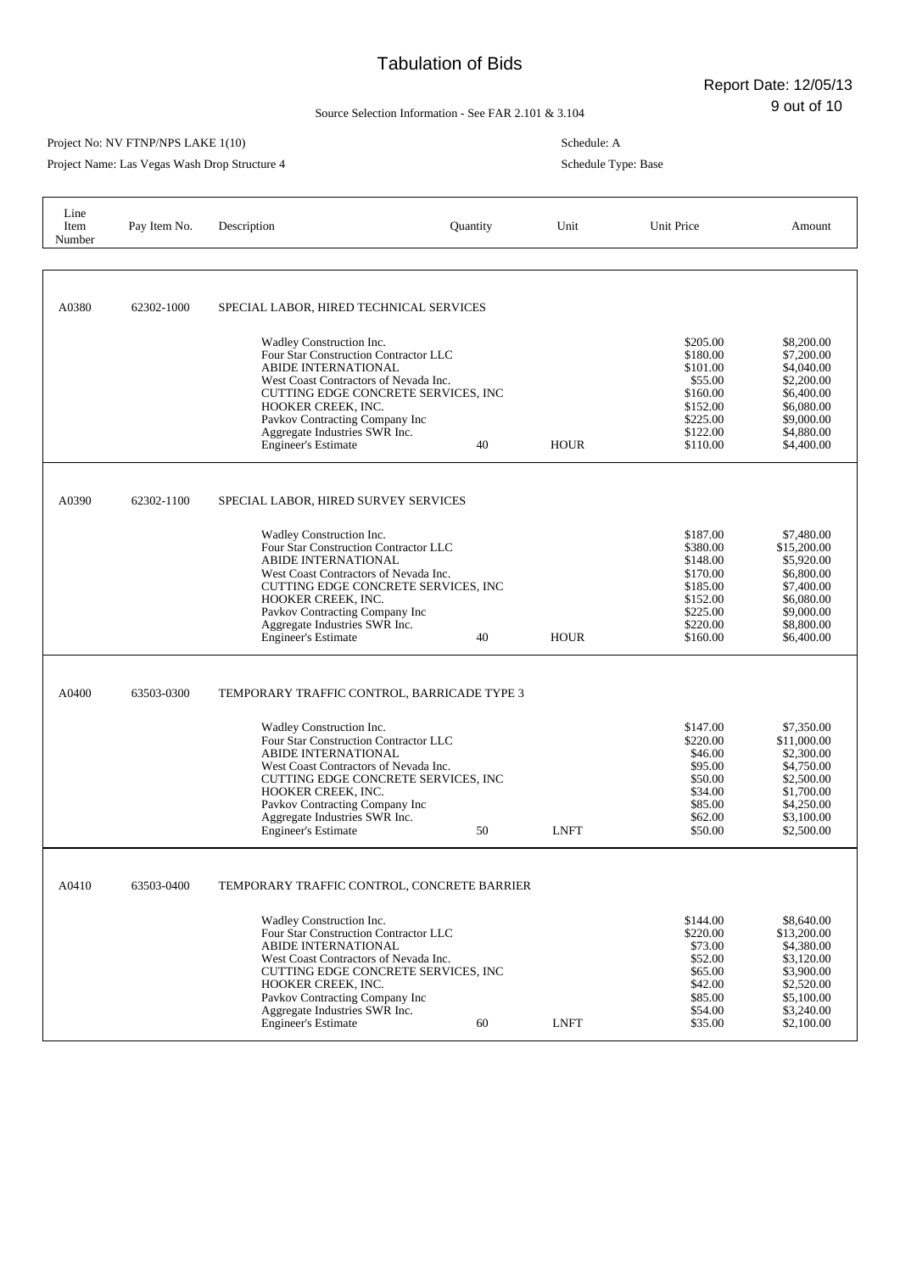Report Date: 12/05/13

9 out of 10 Source Selection Information - See FAR 2.101 & 3.104

#### Project No: NV FTNP/NPS LAKE 1(10)

Line

Project Name: Las Vegas Wash Drop Structure 4

Schedule: A Schedule Type: Base

| Item<br>Number | Pay Item No. | Description                                                                  | Quantity | Unit        | <b>Unit Price</b>    | Amount                    |
|----------------|--------------|------------------------------------------------------------------------------|----------|-------------|----------------------|---------------------------|
|                |              |                                                                              |          |             |                      |                           |
|                |              |                                                                              |          |             |                      |                           |
|                |              |                                                                              |          |             |                      |                           |
| A0380          | 62302-1000   | SPECIAL LABOR, HIRED TECHNICAL SERVICES                                      |          |             |                      |                           |
|                |              |                                                                              |          |             |                      |                           |
|                |              | Wadley Construction Inc.<br>Four Star Construction Contractor LLC            |          |             | \$205.00<br>\$180.00 | \$8,200.00<br>\$7,200.00  |
|                |              | <b>ABIDE INTERNATIONAL</b>                                                   |          |             | \$101.00             | \$4,040.00                |
|                |              | West Coast Contractors of Nevada Inc.                                        |          |             | \$55.00              | \$2,200.00                |
|                |              | CUTTING EDGE CONCRETE SERVICES, INC<br>HOOKER CREEK. INC.                    |          |             | \$160.00<br>\$152.00 | \$6,400.00<br>\$6,080.00  |
|                |              | Pavkov Contracting Company Inc                                               |          |             | \$225.00             | \$9,000.00                |
|                |              | Aggregate Industries SWR Inc.                                                |          |             | \$122.00             | \$4,880.00                |
|                |              | <b>Engineer's Estimate</b>                                                   | 40       | <b>HOUR</b> | \$110.00             | \$4,400.00                |
|                |              |                                                                              |          |             |                      |                           |
| A0390          | 62302-1100   | SPECIAL LABOR, HIRED SURVEY SERVICES                                         |          |             |                      |                           |
|                |              |                                                                              |          |             |                      |                           |
|                |              | Wadley Construction Inc.                                                     |          |             | \$187.00             | \$7,480.00                |
|                |              | Four Star Construction Contractor LLC                                        |          |             | \$380.00             | \$15,200.00               |
|                |              | <b>ABIDE INTERNATIONAL</b><br>West Coast Contractors of Nevada Inc.          |          |             | \$148.00<br>\$170.00 | \$5,920.00<br>\$6,800.00  |
|                |              | CUTTING EDGE CONCRETE SERVICES, INC                                          |          |             | \$185.00             | \$7,400.00                |
|                |              | HOOKER CREEK, INC.                                                           |          |             | \$152.00             | \$6,080.00                |
|                |              | Pavkov Contracting Company Inc<br>Aggregate Industries SWR Inc.              |          |             | \$225.00<br>\$220.00 | \$9,000.00<br>\$8,800.00  |
|                |              | <b>Engineer's Estimate</b>                                                   | 40       | <b>HOUR</b> | \$160.00             | \$6,400.00                |
|                |              |                                                                              |          |             |                      |                           |
|                |              |                                                                              |          |             |                      |                           |
| A0400          | 63503-0300   | TEMPORARY TRAFFIC CONTROL, BARRICADE TYPE 3                                  |          |             |                      |                           |
|                |              | Wadley Construction Inc.                                                     |          |             | \$147.00             | \$7,350.00                |
|                |              | Four Star Construction Contractor LLC                                        |          |             | \$220.00             | \$11,000.00               |
|                |              | <b>ABIDE INTERNATIONAL</b>                                                   |          |             | \$46.00              | \$2,300.00                |
|                |              | West Coast Contractors of Nevada Inc.<br>CUTTING EDGE CONCRETE SERVICES, INC |          |             | \$95.00<br>\$50.00   | \$4,750.00<br>\$2,500.00  |
|                |              | HOOKER CREEK, INC.                                                           |          |             | \$34.00              | \$1,700.00                |
|                |              | Pavkov Contracting Company Inc                                               |          |             | \$85.00              | \$4,250.00                |
|                |              | Aggregate Industries SWR Inc.<br><b>Engineer's Estimate</b>                  | 50       | <b>LNFT</b> | \$62.00<br>\$50.00   | \$3,100.00<br>\$2,500.00  |
|                |              |                                                                              |          |             |                      |                           |
|                |              |                                                                              |          |             |                      |                           |
| A0410          | 63503-0400   | TEMPORARY TRAFFIC CONTROL, CONCRETE BARRIER                                  |          |             |                      |                           |
|                |              |                                                                              |          |             |                      |                           |
|                |              | Wadley Construction Inc.<br>Four Star Construction Contractor LLC            |          |             | \$144.00<br>\$220.00 | \$8,640.00<br>\$13,200.00 |
|                |              | <b>ABIDE INTERNATIONAL</b>                                                   |          |             | \$73.00              | \$4,380.00                |
|                |              | West Coast Contractors of Nevada Inc.<br>CUTTING EDGE CONCRETE SERVICES, INC |          |             | \$52.00<br>\$65.00   | \$3,120.00<br>\$3,900.00  |
|                |              | HOOKER CREEK, INC.                                                           |          |             | \$42.00              | \$2,520.00                |
|                |              | Pavkov Contracting Company Inc                                               |          |             | \$85.00              | \$5,100.00                |
|                |              | Aggregate Industries SWR Inc.<br><b>Engineer's Estimate</b>                  | 60       | <b>LNFT</b> | \$54.00<br>\$35.00   | \$3,240.00<br>\$2,100.00  |
|                |              |                                                                              |          |             |                      |                           |